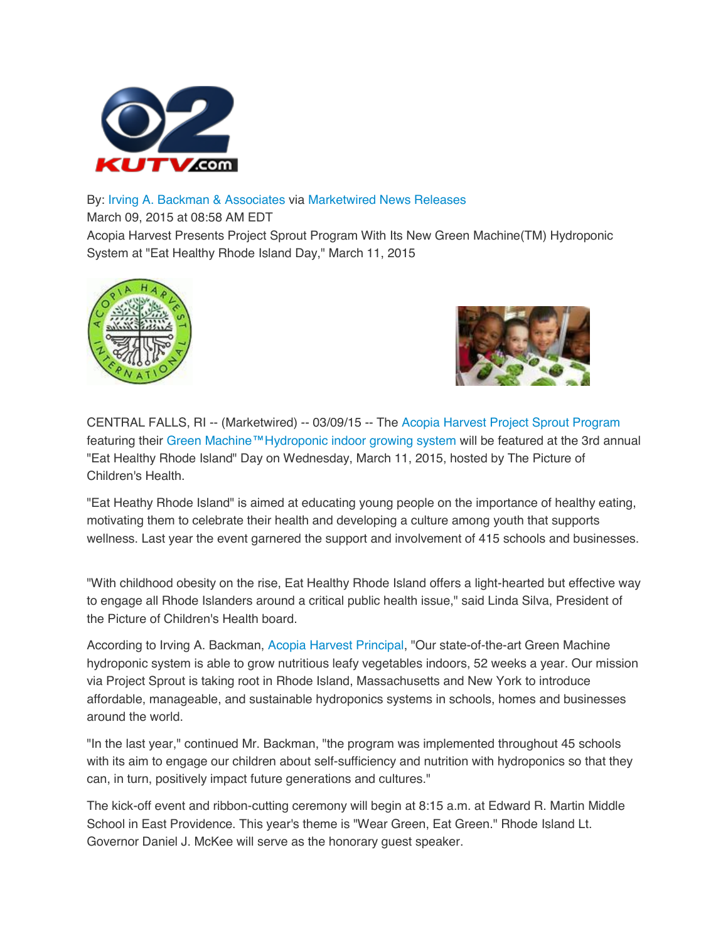

## By: Irving A. Backman & Associates via Marketwired News Releases

March 09, 2015 at 08:58 AM EDT

Acopia Harvest Presents Project Sprout Program With Its New Green Machine(TM) Hydroponic System at "Eat Healthy Rhode Island Day," March 11, 2015





CENTRAL FALLS, RI -- (Marketwired) -- 03/09/15 -- The Acopia Harvest Project Sprout Program featuring their Green Machine™Hydroponic indoor growing system will be featured at the 3rd annual "Eat Healthy Rhode Island" Day on Wednesday, March 11, 2015, hosted by The Picture of Children's Health.

"Eat Heathy Rhode Island" is aimed at educating young people on the importance of healthy eating, motivating them to celebrate their health and developing a culture among youth that supports wellness. Last year the event garnered the support and involvement of 415 schools and businesses.

"With childhood obesity on the rise, Eat Healthy Rhode Island offers a light-hearted but effective way to engage all Rhode Islanders around a critical public health issue," said Linda Silva, President of the Picture of Children's Health board.

According to Irving A. Backman, Acopia Harvest Principal, "Our state-of-the-art Green Machine hydroponic system is able to grow nutritious leafy vegetables indoors, 52 weeks a year. Our mission via Project Sprout is taking root in Rhode Island, Massachusetts and New York to introduce affordable, manageable, and sustainable hydroponics systems in schools, homes and businesses around the world.

"In the last year," continued Mr. Backman, "the program was implemented throughout 45 schools with its aim to engage our children about self-sufficiency and nutrition with hydroponics so that they can, in turn, positively impact future generations and cultures."

The kick-off event and ribbon-cutting ceremony will begin at 8:15 a.m. at Edward R. Martin Middle School in East Providence. This year's theme is "Wear Green, Eat Green." Rhode Island Lt. Governor Daniel J. McKee will serve as the honorary guest speaker.